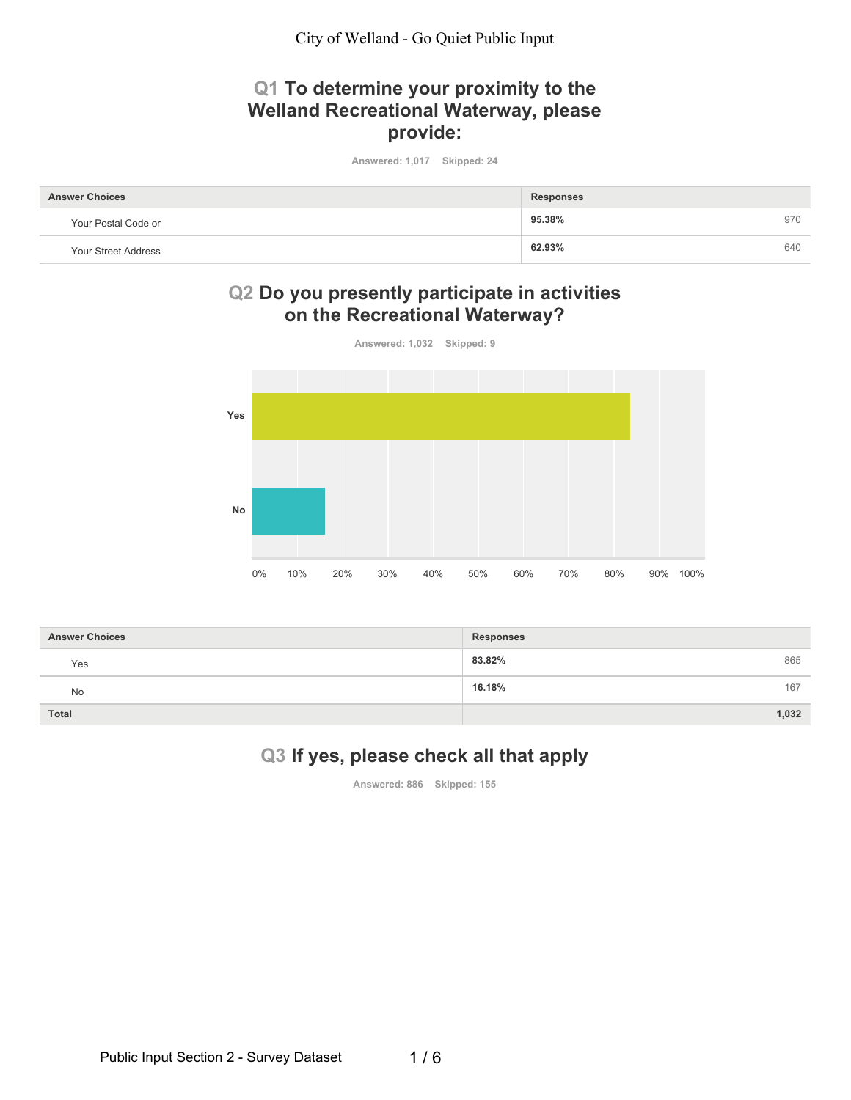City of Welland - Go Quiet Public Input

# Q1 To determine your proximity to the Welland Recreational Waterway, please provide:

Answered: 1,017 Skipped: 24

| <b>Answer Choices</b> | <b>Responses</b> |     |
|-----------------------|------------------|-----|
| Your Postal Code or   | 95.38%           | 970 |
| Your Street Address   | 62.93%           | 640 |

## Q2 Do you presently participate in activities on the Recreational Waterway?



| <b>Answer Choices</b> | <b>Responses</b> |
|-----------------------|------------------|
| Yes                   | 83.82%<br>865    |
| No                    | 16.18%<br>167    |
| <b>Total</b>          | 1,032            |

# Q3 If yes, please check all that apply

Answered: 886 Skipped: 155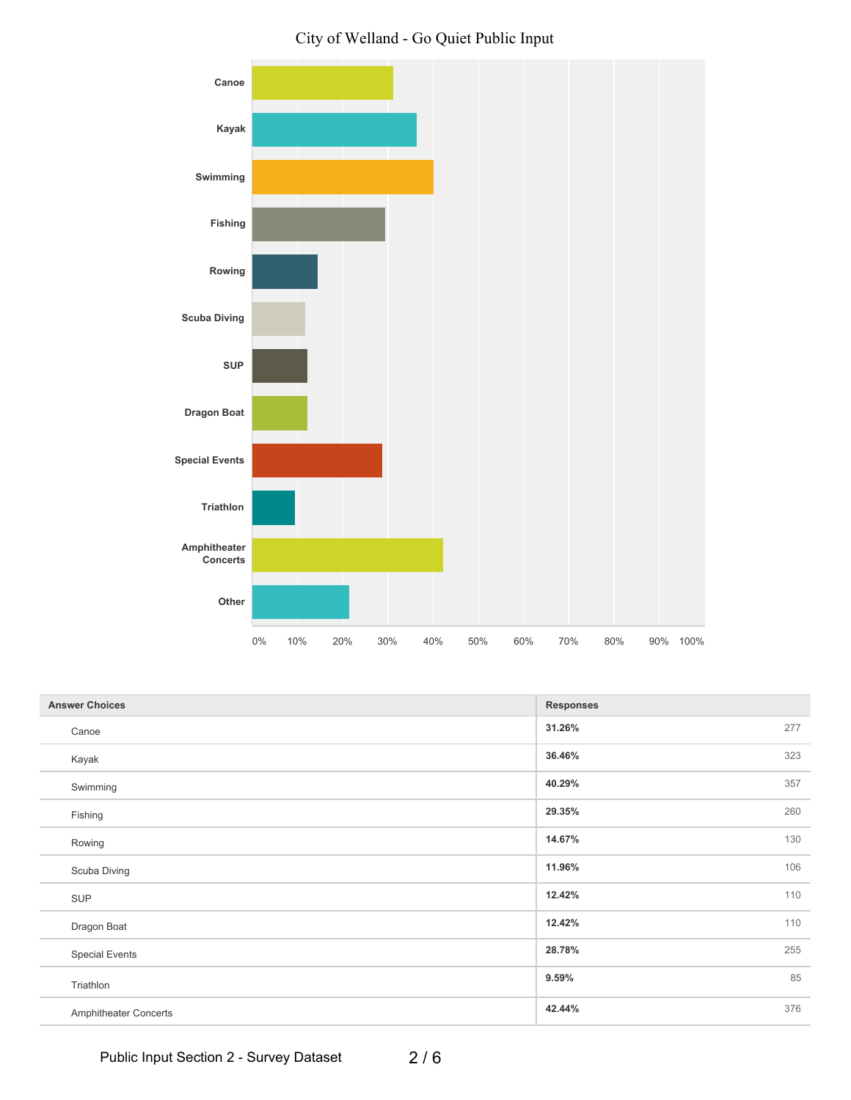



| <b>Answer Choices</b> | <b>Responses</b> |
|-----------------------|------------------|
| Canoe                 | 31.26%<br>277    |
| Kayak                 | 323<br>36.46%    |
| Swimming              | 357<br>40.29%    |
| Fishing               | 260<br>29.35%    |
| Rowing                | 130<br>14.67%    |
| Scuba Diving          | 106<br>11.96%    |
| <b>SUP</b>            | 110<br>12.42%    |
| Dragon Boat           | 110<br>12.42%    |
| <b>Special Events</b> | 255<br>28.78%    |
| Triathlon             | 85<br>9.59%      |
| Amphitheater Concerts | 376<br>42.44%    |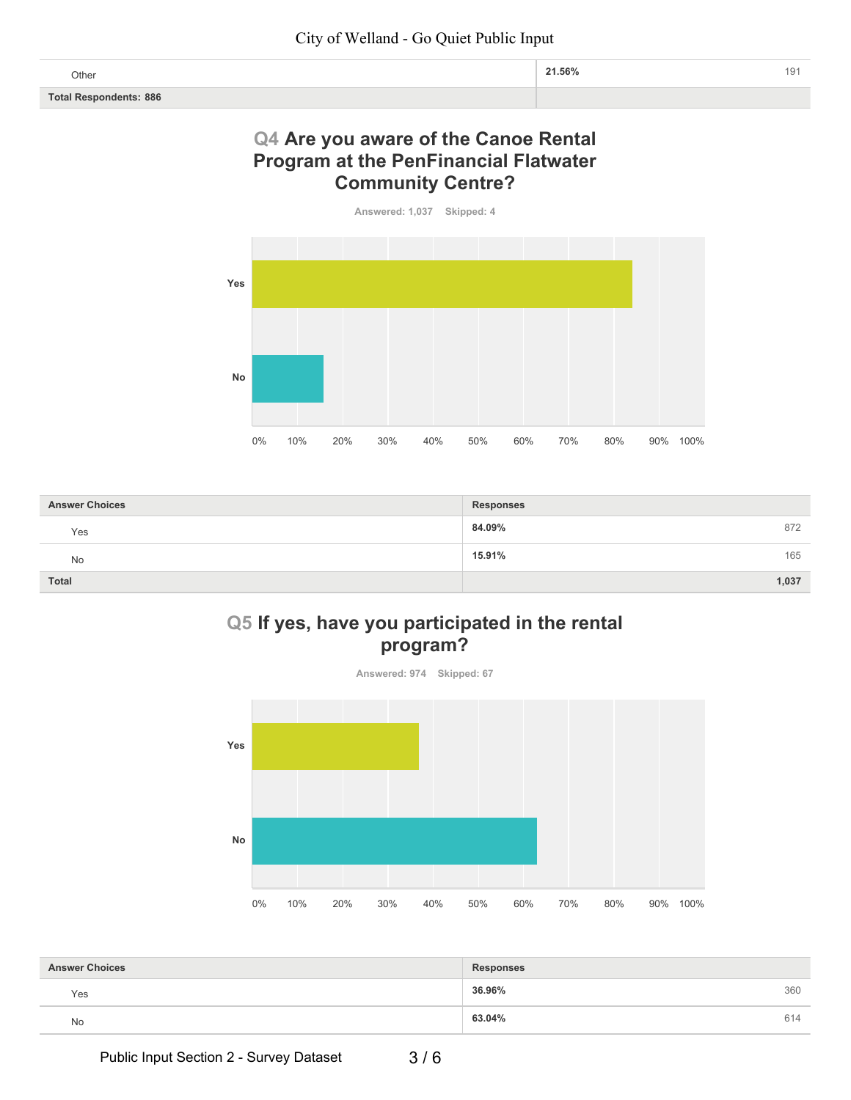|                               | Other | 191 |
|-------------------------------|-------|-----|
| <b>Total Respondents: 886</b> |       |     |

#### Q4 Are you aware of the Canoe Rental **Program at the PenFinancial Flatwater Community Centre?**



| <b>Answer Choices</b> | <b>Responses</b> |
|-----------------------|------------------|
| Yes                   | 84.09%<br>872    |
| No                    | 165<br>15.91%    |
| Total                 | 1,037            |

## Q5 If yes, have you participated in the rental program?



| <b>Answer Choices</b> | <b>Responses</b> |     |
|-----------------------|------------------|-----|
| Yes                   | 36.96%           | 360 |
| No                    | 63.04%           | 614 |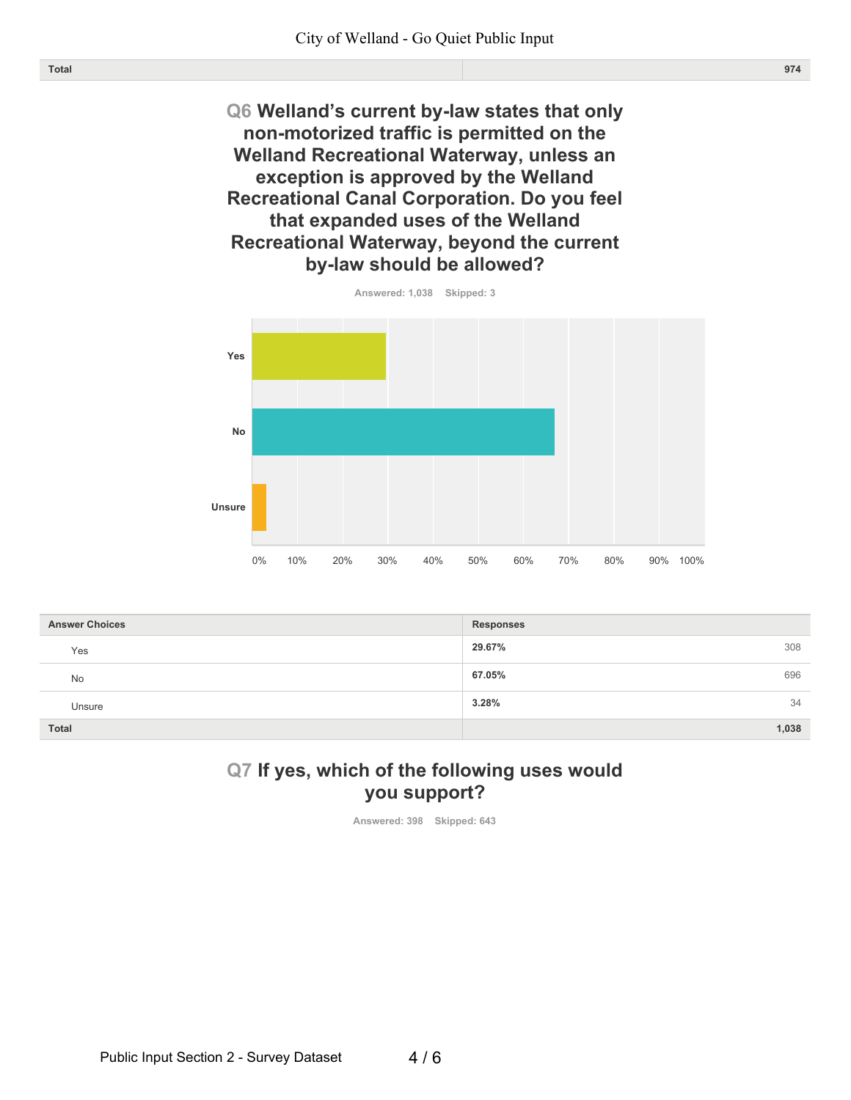Q6 Welland's current by-law states that only non-motorized traffic is permitted on the Welland Recreational Waterway, unless an exception is approved by the Welland Recreational Canal Corporation. Do you feel that expanded uses of the Welland Recreational Waterway, beyond the current by-law should be allowed?



| <b>Answer Choices</b> | <b>Responses</b> |
|-----------------------|------------------|
| Yes                   | 29.67%<br>308    |
| <b>No</b>             | 67.05%<br>696    |
| Unsure                | 3.28%<br>34      |
| <b>Total</b>          | 1,038            |

#### Q7 If yes, which of the following uses would you support?

Answered: 398 Skipped: 643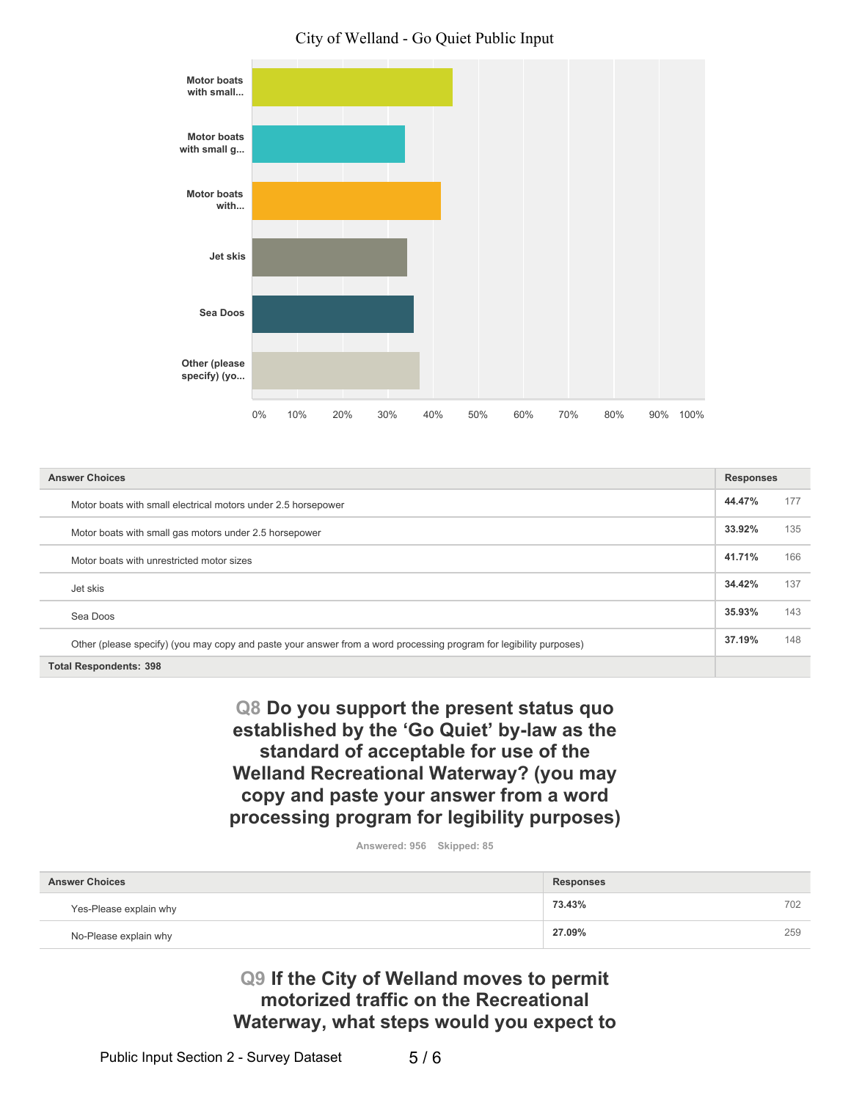#### City of Welland - Go Quiet Public Input



| <b>Answer Choices</b>                                                                                              | <b>Responses</b> |     |
|--------------------------------------------------------------------------------------------------------------------|------------------|-----|
| Motor boats with small electrical motors under 2.5 horsepower                                                      | 44.47%           | 177 |
| Motor boats with small gas motors under 2.5 horsepower                                                             | 33.92%           | 135 |
| Motor boats with unrestricted motor sizes                                                                          | 41.71%           | 166 |
| Jet skis                                                                                                           | 34.42%           | 137 |
| Sea Doos                                                                                                           | 35.93%           | 143 |
| Other (please specify) (you may copy and paste your answer from a word processing program for legibility purposes) | 37.19%           | 148 |
| Total Respondents: 398                                                                                             |                  |     |

Q8 Do you support the present status quo established by the 'Go Quiet' by-law as the standard of acceptable for use of the Welland Recreational Waterway? (you may copy and paste your answer from a word processing program for legibility purposes)

Answered: 956 Skipped: 85

| <b>Answer Choices</b>  | <b>Responses</b> |     |
|------------------------|------------------|-----|
| Yes-Please explain why | 73.43%           | 702 |
| No-Please explain why  | 27.09%           | 259 |

Q9 If the City of Welland moves to permit motorized traffic on the Recreational Waterway, what steps would you expect to